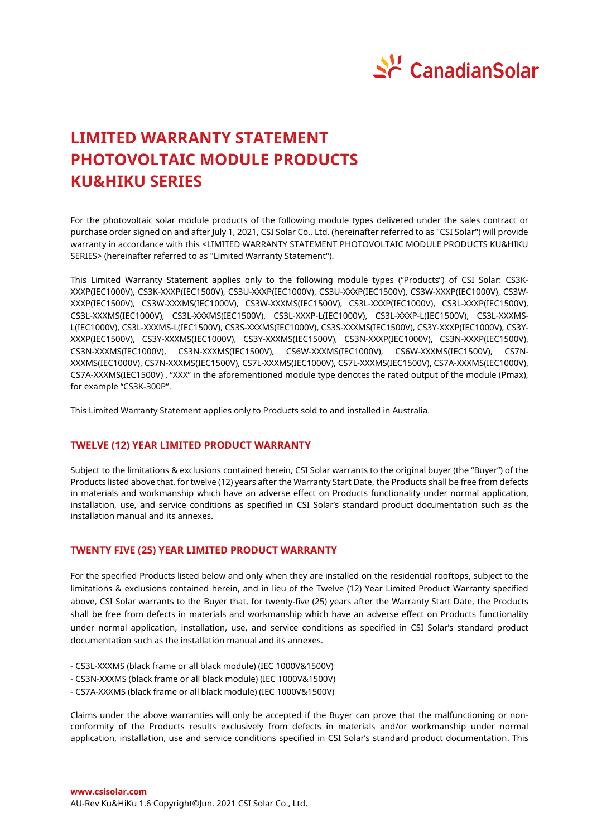

# **LIMITED WARRANTY STATEMENT PHOTOVOLTAIC MODULE PRODUCTS KU&HIKU SERIES**

For the photovoltaic solar module products of the following module types delivered under the sales contract or purchase order signed on and after July 1, 2021, CSI Solar Co., Ltd. (hereinafter referred to as "CSI Solar") will provide warranty in accordance with this <LIMITED WARRANTY STATEMENT PHOTOVOLTAIC MODULE PRODUCTS KU&HIKU SERIES> (hereinafter referred to as "Limited Warranty Statement").

This Limited Warranty Statement applies only to the following module types ("Products") of CSI Solar: CS3K-XXXP(IEC1000V), CS3K-XXXP(IEC1500V), CS3U-XXXP(IEC1000V), CS3U-XXXP(IEC1500V), CS3W-XXXP(IEC1000V), CS3W-XXXP(IEC1500V), CS3W-XXXMS(IEC1000V), CS3W-XXXMS(IEC1500V), CS3L-XXXP(IEC1000V), CS3L-XXXP(IEC1500V), CS3L-XXXMS(IEC1000V), CS3L-XXXMS(IEC1500V), CS3L-XXXP-L(IEC1000V), CS3L-XXXP-L(IEC1500V), CS3L-XXXMS-L(IEC1000V), CS3L-XXXMS-L(IEC1500V), CS3S-XXXMS(IEC1000V), CS3S-XXXMS(IEC1500V), CS3Y-XXXP(IEC1000V), CS3Y-XXXP(IEC1500V), CS3Y-XXXMS(IEC1000V), CS3Y-XXXMS(IEC1500V), CS3N-XXXP(IEC1000V), CS3N-XXXP(IEC1500V), CS3N-XXXMS(IEC1000V), CS3N-XXXMS(IEC1500V), CS6W-XXXMS(IEC1000V), CS6W-XXXMS(IEC1500V), CS7N-XXXMS(IEC1000V), CS7N-XXXMS(IEC1500V), CS7L-XXXMS(IEC1000V), CS7L-XXXMS(IEC1500V), CS7A-XXXMS(IEC1000V), CS7A-XXXMS(IEC1500V) , "XXX" in the aforementioned module type denotes the rated output of the module (Pmax), for example "CS3K-300P".

This Limited Warranty Statement applies only to Products sold to and installed in Australia.

# **TWELVE (12) YEAR LIMITED PRODUCT WARRANTY**

Subject to the limitations & exclusions contained herein, CSI Solar warrants to the original buyer (the "Buyer") of the Products listed above that, for twelve (12) years after the Warranty Start Date, the Products shall be free from defects in materials and workmanship which have an adverse effect on Products functionality under normal application, installation, use, and service conditions as specified in CSI Solar's standard product documentation such as the installation manual and its annexes.

## **TWENTY FIVE (25) YEAR LIMITED PRODUCT WARRANTY**

For the specified Products listed below and only when they are installed on the residential rooftops, subject to the limitations & exclusions contained herein, and in lieu of the Twelve (12) Year Limited Product Warranty specified above, CSI Solar warrants to the Buyer that, for twenty-five (25) years after the Warranty Start Date, the Products shall be free from defects in materials and workmanship which have an adverse effect on Products functionality under normal application, installation, use, and service conditions as specified in CSI Solar's standard product documentation such as the installation manual and its annexes.

- CS3L-XXXMS (black frame or all black module) (IEC 1000V&1500V)
- CS3N-XXXMS (black frame or all black module) (IEC 1000V&1500V)
- CS7A-XXXMS (black frame or all black module) (IEC 1000V&1500V)

Claims under the above warranties will only be accepted if the Buyer can prove that the malfunctioning or nonconformity of the Products results exclusively from defects in materials and/or workmanship under normal application, installation, use and service conditions specified in CSI Solar's standard product documentation. This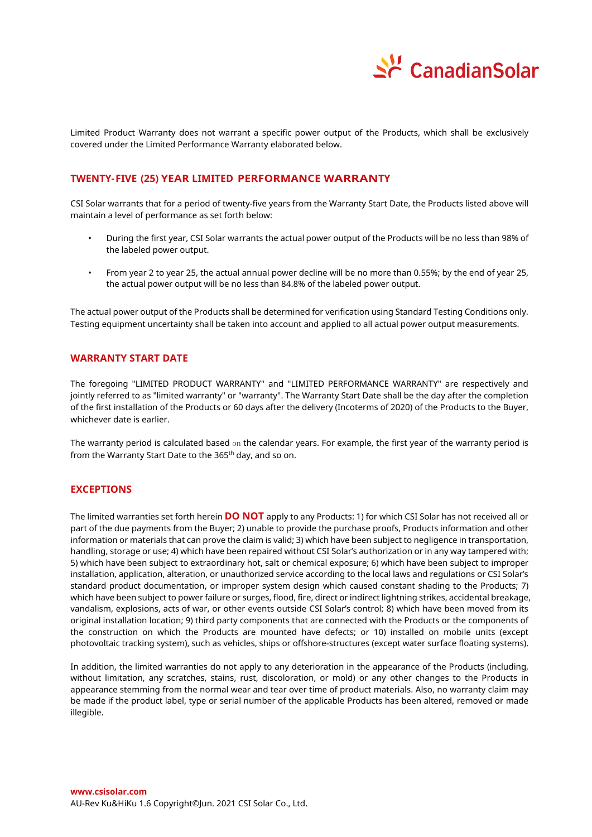

Limited Product Warranty does not warrant a specific power output of the Products, which shall be exclusively covered under the Limited Performance Warranty elaborated below.

## **TWENTY-FIVE (25) YEAR LIMITED PERFORMANCE WARRANTY**

CSI Solar warrants that for a period of twenty-five years from the Warranty Start Date, the Products listed above will maintain a level of performance as set forth below:

- During the first year, CSI Solar warrants the actual power output of the Products will be no less than 98% of the labeled power output.
- From year 2 to year 25, the actual annual power decline will be no more than 0.55%; by the end of year 25, the actual power output will be no less than 84.8% of the labeled power output.

The actual power output of the Products shall be determined for verification using Standard Testing Conditions only. Testing equipment uncertainty shall be taken into account and applied to all actual power output measurements.

## **WARRANTY START DATE**

The foregoing "LIMITED PRODUCT WARRANTY" and "LIMITED PERFORMANCE WARRANTY" are respectively and jointly referred to as "limited warranty" or "warranty". The Warranty Start Date shall be the day after the completion of the first installation of the Products or 60 days after the delivery (Incoterms of 2020) of the Products to the Buyer, whichever date is earlier.

The warranty period is calculated based on the calendar years. For example, the first year of the warranty period is from the Warranty Start Date to the 365<sup>th</sup> day, and so on.

#### **EXCEPTIONS**

The limited warranties set forth herein **DO NOT** apply to any Products: 1) for which CSI Solar has not received all or part of the due payments from the Buyer; 2) unable to provide the purchase proofs, Products information and other information or materials that can prove the claim is valid; 3) which have been subject to negligence in transportation, handling, storage or use; 4) which have been repaired without CSI Solar's authorization or in any way tampered with; 5) which have been subject to extraordinary hot, salt or chemical exposure; 6) which have been subject to improper installation, application, alteration, or unauthorized service according to the local laws and regulations or CSI Solar's standard product documentation, or improper system design which caused constant shading to the Products; 7) which have been subject to power failure or surges, flood, fire, direct or indirect lightning strikes, accidental breakage, vandalism, explosions, acts of war, or other events outside CSI Solar's control; 8) which have been moved from its original installation location; 9) third party components that are connected with the Products or the components of the construction on which the Products are mounted have defects; or 10) installed on mobile units (except photovoltaic tracking system), such as vehicles, ships or offshore-structures (except water surface floating systems).

In addition, the limited warranties do not apply to any deterioration in the appearance of the Products (including, without limitation, any scratches, stains, rust, discoloration, or mold) or any other changes to the Products in appearance stemming from the normal wear and tear over time of product materials. Also, no warranty claim may be made if the product label, type or serial number of the applicable Products has been altered, removed or made illegible.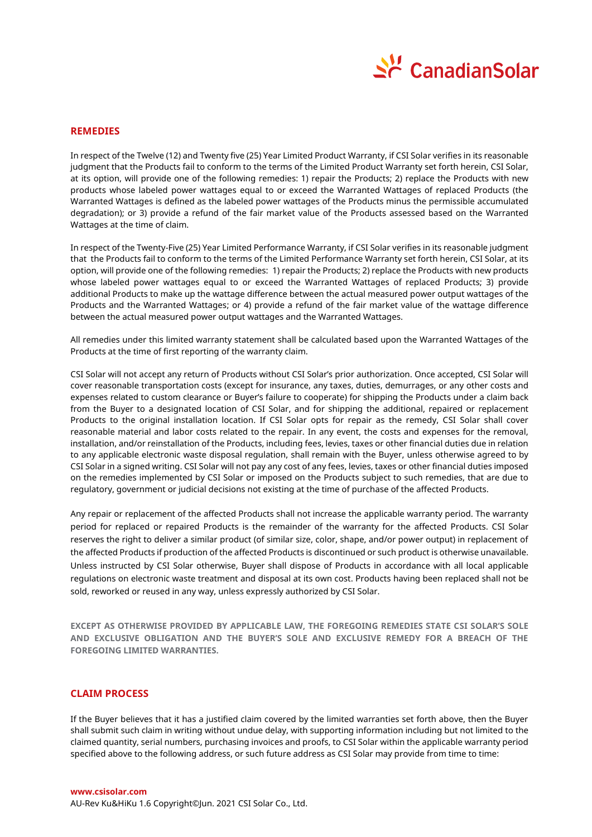

#### **REMEDIES**

In respect of the Twelve (12) and Twenty five (25) Year Limited Product Warranty, if CSI Solar verifies in its reasonable judgment that the Products fail to conform to the terms of the Limited Product Warranty set forth herein, CSI Solar, at its option, will provide one of the following remedies: 1) repair the Products; 2) replace the Products with new products whose labeled power wattages equal to or exceed the Warranted Wattages of replaced Products (the Warranted Wattages is defined as the labeled power wattages of the Products minus the permissible accumulated degradation); or 3) provide a refund of the fair market value of the Products assessed based on the Warranted Wattages at the time of claim.

In respect of the Twenty-Five (25) Year Limited Performance Warranty, if CSI Solar verifies in its reasonable judgment that the Products fail to conform to the terms of the Limited Performance Warranty set forth herein, CSI Solar, at its option, will provide one of the following remedies: 1) repair the Products; 2) replace the Products with new products whose labeled power wattages equal to or exceed the Warranted Wattages of replaced Products; 3) provide additional Products to make up the wattage difference between the actual measured power output wattages of the Products and the Warranted Wattages; or 4) provide a refund of the fair market value of the wattage difference between the actual measured power output wattages and the Warranted Wattages.

All remedies under this limited warranty statement shall be calculated based upon the Warranted Wattages of the Products at the time of first reporting of the warranty claim.

CSI Solar will not accept any return of Products without CSI Solar's prior authorization. Once accepted, CSI Solar will cover reasonable transportation costs (except for insurance, any taxes, duties, demurrages, or any other costs and expenses related to custom clearance or Buyer's failure to cooperate) for shipping the Products under a claim back from the Buyer to a designated location of CSI Solar, and for shipping the additional, repaired or replacement Products to the original installation location. If CSI Solar opts for repair as the remedy, CSI Solar shall cover reasonable material and labor costs related to the repair. In any event, the costs and expenses for the removal, installation, and/or reinstallation of the Products, including fees, levies, taxes or other financial duties due in relation to any applicable electronic waste disposal regulation, shall remain with the Buyer, unless otherwise agreed to by CSI Solar in a signed writing. CSI Solar will not pay any cost of any fees, levies, taxes or other financial duties imposed on the remedies implemented by CSI Solar or imposed on the Products subject to such remedies, that are due to regulatory, government or judicial decisions not existing at the time of purchase of the affected Products.

Any repair or replacement of the affected Products shall not increase the applicable warranty period. The warranty period for replaced or repaired Products is the remainder of the warranty for the affected Products. CSI Solar reserves the right to deliver a similar product (of similar size, color, shape, and/or power output) in replacement of the affected Products if production of the affected Products is discontinued or such product is otherwise unavailable. Unless instructed by CSI Solar otherwise, Buyer shall dispose of Products in accordance with all local applicable regulations on electronic waste treatment and disposal at its own cost. Products having been replaced shall not be sold, reworked or reused in any way, unless expressly authorized by CSI Solar.

**EXCEPT AS OTHERWISE PROVIDED BY APPLICABLE LAW, THE FOREGOING REMEDIES STATE CSI SOLAR'S SOLE AND EXCLUSIVE OBLIGATION AND THE BUYER'S SOLE AND EXCLUSIVE REMEDY FOR A BREACH OF THE FOREGOING LIMITED WARRANTIES.**

## **CLAIM PROCESS**

If the Buyer believes that it has a justified claim covered by the limited warranties set forth above, then the Buyer shall submit such claim in writing without undue delay, with supporting information including but not limited to the claimed quantity, serial numbers, purchasing invoices and proofs, to CSI Solar within the applicable warranty period specified above to the following address, or such future address as CSI Solar may provide from time to time: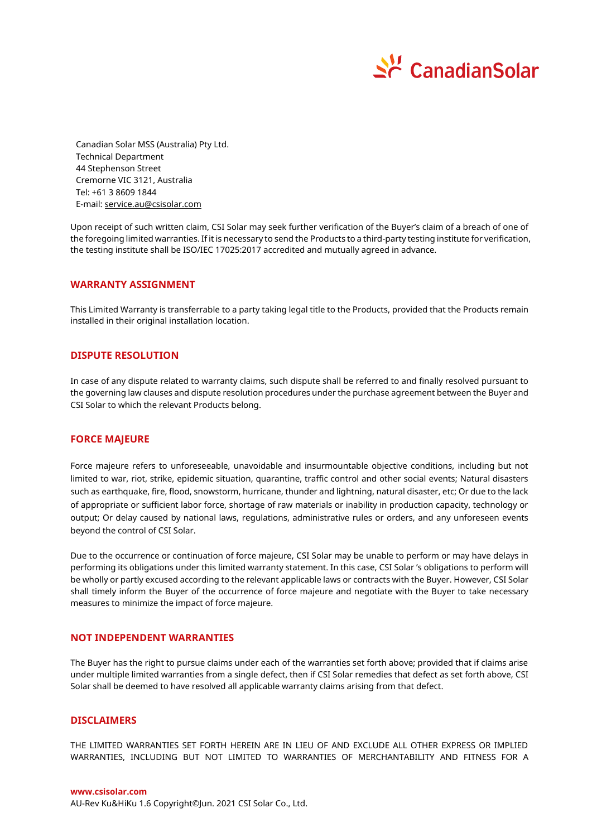

Canadian Solar MSS (Australia) Pty Ltd. Technical Department 44 Stephenson Street Cremorne VIC 3121, Australia Tel: +61 3 8609 1844 E-mail[: service.au@csisolar.com](mailto:service.au@csisolar.com)

Upon receipt of such written claim, CSI Solar may seek further verification of the Buyer's claim of a breach of one of the foregoing limited warranties. If it is necessary to send the Products to a third-party testing institute for verification, the testing institute shall be ISO/IEC 17025:2017 accredited and mutually agreed in advance.

#### **WARRANTY ASSIGNMENT**

This Limited Warranty is transferrable to a party taking legal title to the Products, provided that the Products remain installed in their original installation location.

## **DISPUTE RESOLUTION**

In case of any dispute related to warranty claims, such dispute shall be referred to and finally resolved pursuant to the governing law clauses and dispute resolution procedures under the purchase agreement between the Buyer and CSI Solar to which the relevant Products belong.

#### **FORCE MAJEURE**

Force majeure refers to unforeseeable, unavoidable and insurmountable objective conditions, including but not limited to war, riot, strike, epidemic situation, quarantine, traffic control and other social events; Natural disasters such as earthquake, fire, flood, snowstorm, hurricane, thunder and lightning, natural disaster, etc; Or due to the lack of appropriate or sufficient labor force, shortage of raw materials or inability in production capacity, technology or output; Or delay caused by national laws, regulations, administrative rules or orders, and any unforeseen events beyond the control of CSI Solar.

Due to the occurrence or continuation of force majeure, CSI Solar may be unable to perform or may have delays in performing its obligations under this limited warranty statement. In this case, CSI Solar 's obligations to perform will be wholly or partly excused according to the relevant applicable laws or contracts with the Buyer. However, CSI Solar shall timely inform the Buyer of the occurrence of force majeure and negotiate with the Buyer to take necessary measures to minimize the impact of force majeure.

## **NOT INDEPENDENT WARRANTIES**

The Buyer has the right to pursue claims under each of the warranties set forth above; provided that if claims arise under multiple limited warranties from a single defect, then if CSI Solar remedies that defect as set forth above, CSI Solar shall be deemed to have resolved all applicable warranty claims arising from that defect.

#### **DISCLAIMERS**

THE LIMITED WARRANTIES SET FORTH HEREIN ARE IN LIEU OF AND EXCLUDE ALL OTHER EXPRESS OR IMPLIED WARRANTIES, INCLUDING BUT NOT LIMITED TO WARRANTIES OF MERCHANTABILITY AND FITNESS FOR A

**www.csisolar.com**

AU-Rev Ku&HiKu 1.6 Copyright©Jun. 2021 CSI Solar Co., Ltd.